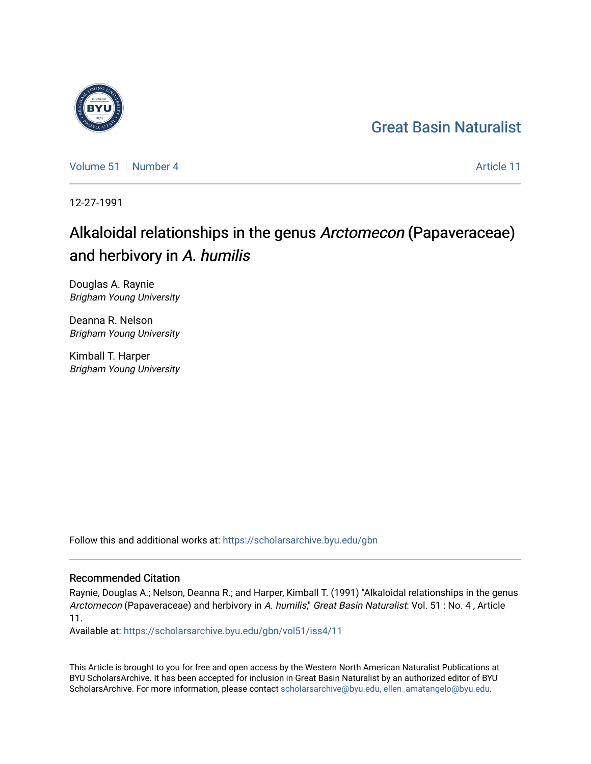## [Great Basin Naturalist](https://scholarsarchive.byu.edu/gbn)

[Volume 51](https://scholarsarchive.byu.edu/gbn/vol51) [Number 4](https://scholarsarchive.byu.edu/gbn/vol51/iss4) Article 11

12-27-1991

# Alkaloidal relationships in the genus Arctomecon (Papaveraceae) and herbivory in A. humilis

Douglas A. Raynie Brigham Young University

Deanna R. Nelson Brigham Young University

Kimball T. Harper Brigham Young University

Follow this and additional works at: [https://scholarsarchive.byu.edu/gbn](https://scholarsarchive.byu.edu/gbn?utm_source=scholarsarchive.byu.edu%2Fgbn%2Fvol51%2Fiss4%2F11&utm_medium=PDF&utm_campaign=PDFCoverPages) 

### Recommended Citation

Raynie, Douglas A.; Nelson, Deanna R.; and Harper, Kimball T. (1991) "Alkaloidal relationships in the genus Arctomecon (Papaveraceae) and herbivory in A. humilis," Great Basin Naturalist: Vol. 51 : No. 4, Article 11.

Available at: [https://scholarsarchive.byu.edu/gbn/vol51/iss4/11](https://scholarsarchive.byu.edu/gbn/vol51/iss4/11?utm_source=scholarsarchive.byu.edu%2Fgbn%2Fvol51%2Fiss4%2F11&utm_medium=PDF&utm_campaign=PDFCoverPages) 

This Article is brought to you for free and open access by the Western North American Naturalist Publications at BYU ScholarsArchive. It has been accepted for inclusion in Great Basin Naturalist by an authorized editor of BYU ScholarsArchive. For more information, please contact [scholarsarchive@byu.edu, ellen\\_amatangelo@byu.edu.](mailto:scholarsarchive@byu.edu,%20ellen_amatangelo@byu.edu)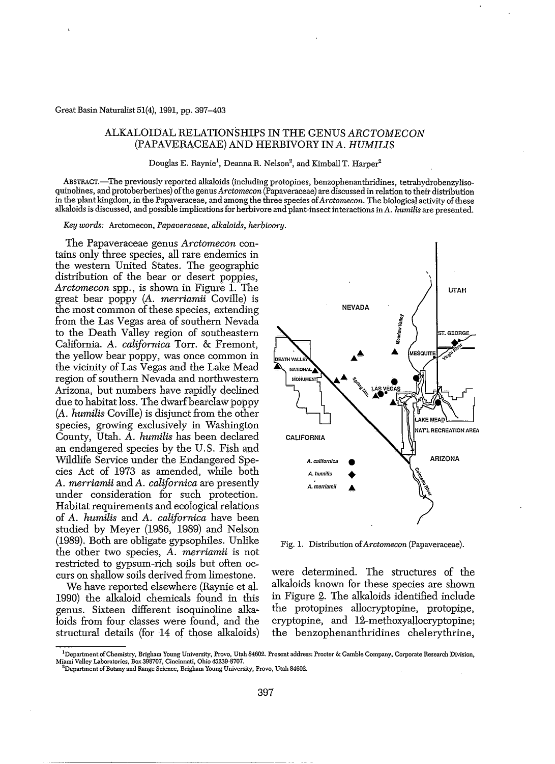#### Great Basin Naturalist 51(4), 1991, pp. 397-403

#### ALKALOIDAL RELATIONSHIPS IN THE GENUS ARCTOMECON (PAPAVERACEAE) AND HERBIVORY IN *A. HUMILIS*

Douglas E. Raynie<sup>1</sup>, Deanna R. Nelson<sup>2</sup>, and Kimball T. Harper<sup>2</sup>

ABSTRACT.-The previously reported alkaloids (including protopines, benzophenanthridines, tetrahydrobenzylisoqUinolines, and protoberberines) ofthe genus *Arctomecon* (Papaveraceae) are discussed in relation to their distribution in the plant kingdom, in the Papaveraceae, and among the three species of*Arctomecon.* The biological activity ofthese alkaloids is discussed, and possible implications for herbivore and plant-insect interactions in A. *humilis* are presented.

*Key words:* Arctomecon, *Papaveraceae, alkaloicls, herbivory.*

The Papaveraceae genus *Arctomecon* contains only three species, all rare endemics in the western United States. The geographic distribution of the bear or desert poppies, *Arctomecon* spp., is shown in Figure 1. The great bear poppy *(A. merriamii* Coville) is the most common of these species, extending from the Las Vegas area of southern Nevada to the Death Valley region of southeastern California. *A. californica* Torr. & Fremont, the yellow bear poppy, was once common in the vicinity of Las Vegas and the Lake Mead region of southern Nevada and northwestern Arizona, but numbers have rapidly declined due to habitat loss. The dwarf bearclaw poppy *(A. humilis* Coville) is disjunct from the other species, growing exclusively in Washington County, Utah. *A. humilis* has been declared an endangered species by the U. S. Fish and Wildlife Service under the Endangered Species Act of 1973 as amended, while both *A. merriamii* and *A. californica* are presently under consideration for such protection. Habitat requirements and ecological relations of *A. humilis* and *A. californica* have been studied by Meyer (1986, 1989) and Nelson (1989). Both are obligate gypsophiles. Unlike the other two species, *A. merriamii* is not restricted to gypsum-rich soils but often occurs on shallow soils derived from limestone.

We have reported elsewhere (Raynie et al. 1990) the alkaloid chemicals found in this genus. Sixteen different isoquinoline alka~ loids from four classes were found, and the structural details (for 14 of those alkaloids)



Fig. 1. Distribution of*Arctomecon* (Papaveraceae).

were determined. The structures of the alkaioids known for these species are shown in Figure 2. the alkaloids identified include the protopines allocryptopine, protopine, cryptopine, and 12-methoxyallocryptopine; the benzophenanthridines chelerythrine,

<sup>&</sup>lt;sup>1</sup>Department of Chemistry, Brigham Young University, Provo, Utah 84602. Present address: Procter & Camble Company, Corporate Research Division, Miami Valley Laboratories, Box 398707, Cincinnati, Ohio 45239-8707.

**<sup>2</sup>Department** ofBotany **and Range Science, Brigham Young University, Provo, Utah 84602.**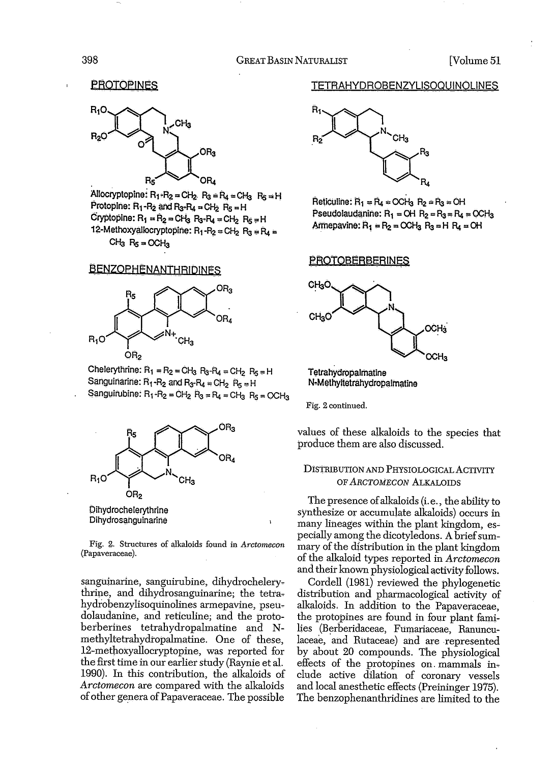**PROTOPINES** 



Allocryptopine:  $R_1 - R_2 = C H_2$ .  $R_3 = R_4 = C H_3$ .  $R_5 = H$ Protopine:  $R_1$ - $R_2$  and  $R_3$ - $R_4$  = CH<sub>2</sub>  $R_5$  = H  $C$ ryptopine:  $R_1 = R_2 = C H_3$   $R_3 - R_4 = C H_2$   $R_5 = H$ 12-Methoxyallocryptopine:  $R_1 - R_2 = C H_2$   $R_3 = R_4 =$  $CH<sub>3</sub>$   $R<sub>5</sub> = OCH<sub>3</sub>$ 

#### **BENZOPHENANTHRIDINES**



Chelerythrine:  $R_1 = R_2 = C H_3$   $R_3 - R_4 = C H_2$   $R_5 = H$ Sanguinarine:  $R_1 - R_2$  and  $R_3 - R_4 = C H_2$   $R_5 = H$ Sanguirubine:  $R_1 - R_2 = C H_2$   $R_3 = R_4 = C H_3$   $R_5 = C C H_3$ 



Dihydrochelerythrine Dihydrosanguinarine

Fig. 2. Structures of alkaloids found in *Arctomecon* (Papaveraceae).

sanguinarine, sanguirubine, dihydrochelery, thrine, and dihydrosanguinarine; the tetra, hydrobenzylisoquinolines armepavine, pseudolaudanine, and reticuline; and the protoberberines tetrahydropalmatine and Nmethyltetrahydropalmatine. One of these, 12-methoxyallocryptopine, was reported for the first time in our earlier study (Raynie et al. 1990). In this contribution, the alkaloids of *Arctomecon* are compared with the alkaloids of other genera of Papaveraceae. The possible

#### TETRAHYDROBENZYUSOQUINOUNES



 $Reticulture: R<sub>1</sub> = R<sub>4</sub> = OCH<sub>3</sub> R<sub>2</sub> = R<sub>3</sub> = OH$ Pseudolaudanine:  $R_1 = OH$   $R_2 = R_3 = R_4 = OCH_3$ . Armepavine:  $R_1 = R_2 = OCH_3$   $R_3 = H$   $R_4 = OH$ 

#### **PROTOBERBERINES**



Tetrahydropalmatine N-Methyltetrahydropalmatine

Fig. 2 continued.

values of these alkaloids to the species that produce them are also discussed.

#### DIStRIBUTION AND PHYSIOLOGICAL ACTIVITY OF ARCTOMECON ALKALOIDS

The presence ofalkaloids (i. e., the ability to synthesize or accumulate alkaloids) occurs in many lineages within the plant kingdom, especially among the dicotyledons. A brief summary of the distribution in the plant kingdom of the alkaloid types reported in *Arctomecon* and their known physiological activity follows.

Cordell (1981) reviewed the phylogenetic distribution and pharmacological activity of alkaloids. In addition to the Papaveraceae. the protopines are found in four plant families (Berberidaceae, Fumariaceae, Ranunculaceae, and Rutaceae) and are represented by about 20 compounds. The physiological effects of the protopines on mammals inelude active dilation of coronary vessels and local anesthetic effects (Preininger 1975). The benzophenanthridines are limited to the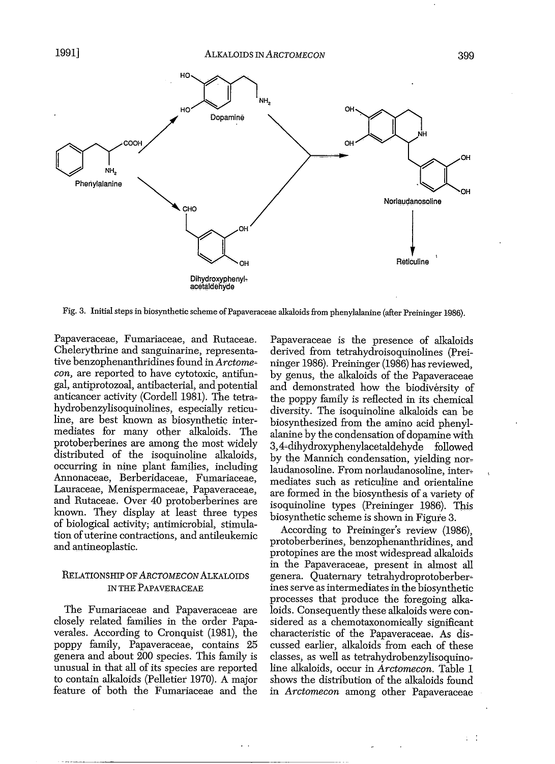

Fig. 3. Initial steps in biosynthetic scheme of Papaveraceae alkaloids from phenylalanine (after Preininger 1986).

Papaveraceae, Fumariaceae, and Rutaceae. Chelerythrine and sanguinarine, representative benzophenanthridines found in Arctome*con*, are reported to have cytotoxic, antifungal, antiprotozoal, antibacterial, and potential anticancer activity (Cordell 1981). The tetrahydrobenzylisoquinolines, especially reticuline, are best known as biosynthetic intermediates for many other alkaloids. The protoberberines are among the most widely distributed of the isoquinoline alkaloids, occurring in nine plant families, including Annonaceae, Berberidaceae, Fumariaceae, Lauraceae, Menispermaceae, Papaveraceae, and Rutaceae. Over 40 protoberberines are lmown. They display at least three types of biological activity; antimicrobial, stimulation of uterine contractions, and antileukemic and antineoplastic.

#### RELATIONSHIP OF ARCTOMECON ALKALOIDS IN THE PAPAVERACEAE

The Fumariaceae and Papaveraceae are closely related families in the order Papaverales. According to Cronquist (1981), the poppy family, Papaveraceae, contains 25 genera and about 200 species. This family is unusual in that all of its species are reported to contain alkaloids (Pelletier 1970). A major feature of both the Fumariaceae and the Papaveraceae is the presence of alkaloids derived from tetrahydroisoquinolines (Preininger 1986). Preininger (1986) has reviewed, by genus, the alkaloids of the Papaveraceae and demonstrated how the biodiversity of the poppy family is reflected in its chemical diversity. The isoquinoline alkaloids can be biosynthesized from the amino acid phenylalanine by the condensation of dopamine with 3,4~dih)'droxyphenylacetaldehyde followed by the Mannich condensation, yielding norlaudanosoline. From norlaudanosoline, intermediates such as reticuline and orientaline are formed in the biosynthesis of a variety of isoquinoline types (Preininger 1986). This biosynthetic scheme is shown in Figure 3.

According to Preininger's review (1986), protoberberines, benzophenanthridines, and protopines are the mostwidespread alkaloids in the Papaveraceae, present in almost all genera. Quaternary tetrahydroprotoberberines serve as intermediates in the biosynthetic processes that produce the foregoing alkaloids. Consequently these alkaloids were considered as a chemotaxonomically significant characteristic of the Papaveraceae. As discussed earlier, alkaloids from each of these classes, as well as tetrahydrobenzylisoquinoline alkaloids, occur in *Arctomecon.* Table 1 shows the distribution of the alkaloids found in *Arctomecon* among other Papaveraceae

 $\pm$   $\pm$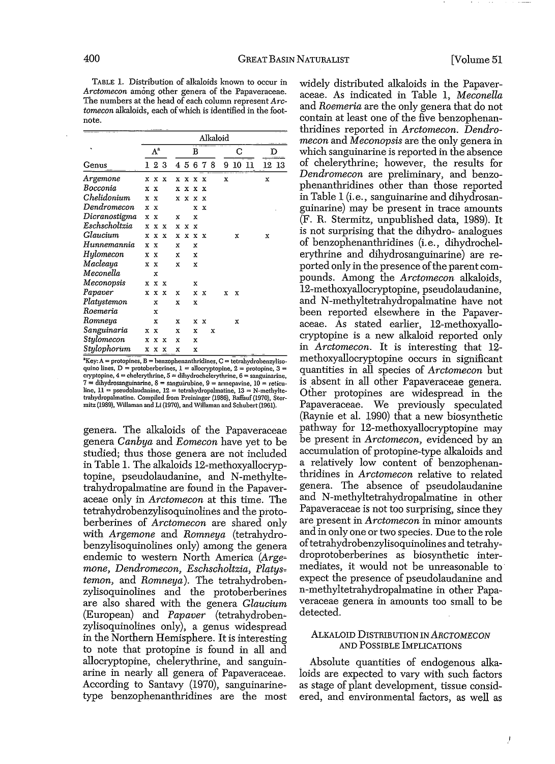TABLE 1. Distribution of alkaloids known to occur in *Arctomecon* among other genera of the Papaveraceae. The numbers at the head of each column represent *Arc*tomecon alkaloids, each of which is identified in the footnote.

| Genus         | Alkaloid     |     |                           |   |              |   |                           |   |   |    |    |          |  |  |
|---------------|--------------|-----|---------------------------|---|--------------|---|---------------------------|---|---|----|----|----------|--|--|
|               | $A^a$        |     |                           |   | в            |   |                           |   |   | C  | D  |          |  |  |
|               |              | 123 |                           |   | 45           | 6 | 78                        |   | 9 | 10 | 11 | 13<br>12 |  |  |
| Argemone      | x            | x   | $\mathbf{x}$              | x | $\mathbf{x}$ | x | x                         |   | x |    |    | x        |  |  |
| Bocconia      | x            | x   |                           | x | x            | x | x                         |   |   |    |    |          |  |  |
| Chelidonium   | x            | X   |                           |   | x x          | x | x                         |   |   |    |    |          |  |  |
| Dendromecon   | $\mathbf{x}$ | X   |                           |   |              | x | $\boldsymbol{\mathbf{x}}$ |   |   |    |    |          |  |  |
| Dicranostigma | x.           | x   |                           | x |              | x |                           |   |   |    |    |          |  |  |
| Eschscholtzia | x            |     | x x                       | x | x            | x |                           |   |   |    |    |          |  |  |
| Glaucium      | x            | x   | x                         | x | x            | х | x                         |   |   | x  |    | x        |  |  |
| Hunnemannia   | x            | x   |                           | x |              | x |                           |   |   |    |    |          |  |  |
| Hylomecon     | x            | x   |                           | x |              | x |                           |   |   |    |    |          |  |  |
| Macleaya      | x            | x   |                           | x |              | x |                           |   |   |    |    |          |  |  |
| Meconella     |              | x   |                           |   |              |   |                           |   |   |    |    |          |  |  |
| Meconopsis    | x            | x   | $\mathbf x$               |   |              | х |                           |   |   |    |    |          |  |  |
| Papaver       | x            | x   | $\boldsymbol{\mathbf{x}}$ | x |              | x | x                         |   | x | x  |    |          |  |  |
| Platystemon   |              | x   |                           | x |              | X |                           |   |   |    |    |          |  |  |
| Roemeria      |              | x   |                           |   |              |   |                           |   |   |    |    |          |  |  |
| Romneya       |              | x   |                           | x |              |   | x x                       |   |   | x  |    |          |  |  |
| Sanguinaria   | x            | X   |                           | x |              | x |                           | x |   |    |    |          |  |  |
| Stylomecon    | x            | x   | $\boldsymbol{\mathsf{x}}$ | x |              | x |                           |   |   |    |    |          |  |  |
| Stulophorum   | x            | x   | x                         | x |              | x |                           |   |   |    |    |          |  |  |
|               |              |     |                           |   |              |   |                           |   |   |    |    |          |  |  |

 $^3$ Key:  $A =$  protopines,  $B =$  benzophenanthridines,  $C =$  tetrahydrobenzylisoquino lines, D = protoberberines, 1 = allocryptopine, 2 = protopine, 3 =<br>cryptopine, 4 = chelerythrine, 5 = dihydrochelerythrine, 6 = sanguinarine, 7 **= dihydrosanguinarine. 8 = sanguirubine, 9 = arrnepavine. 10 = reticu-** $\lim_{n \to \infty} \frac{1}{n}$  = pseudolaudanine,  $12 = \text{tetrahydropalmatine}$ ,  $13 = \text{N-methylte-}$ trahydropalmatine. Compiled from Preininger (1986), Raffauf(1970), Stermitz (1989), Willaman and Li (1970), and Willaman and Schuhert (1961).

genera. The alkaloids of the Papaveraceae genera *Canbya* and *Eomecon* have yet to be studied; thus those genera are not included in Table 1. The alkaloids 12~methoxyallocryp~ topine, pseudolaudanine, and N-methyltetrahydropalmatine are found in the Papaveraceae only in *Arctomecon* at this time. The tetrahydrobenzylisoquinolines and the proto~ berberines of *Arctomecon* are shared only with *Argemone* and *Romneya* (tetrahydrobenzylisoquinolines only) among the genera endemic to western North America (Arge*mone, Dendromecon, Eschscholtzia,* Platys~ *temon,* and *Romneya*). The tetrahydrobenzylisoquinolines and the protoberberines are also shared with the genera *Glaucium* (European) and *Papaver* (tetrahydroben~ zylisoquinolines only), a genus widespread in the Northern Hemisphere. It is interesting to note that protopine is found in all and allocryptopine, chelerythrine, and sanguinarine in nearly all genera of Papaveraceae. According to Santavy (1970), sanguinarine~ type benzophenanthridines are the most

widely distributed alkaloids in the Papaveraceae. As indicated in Table **1,** *Meconella* and *Roemeria* are the only genera that do not contain at least one of the five benzophenanthridines reported in *Arctomecon. Dendromecon* and *Meconopsis* are the only genera in which sanguinarine is reported in the absence of chelerythrine; however, the results for *Dendromecon* are preliminary, and benzo~ phenanthridines other than those reported in Table 1 (i. e., sanguinarine and dihydrosanguinarine) may be present in trace amounts (F. R. Stermitz, unpublished data, 1989). **It** is not surprising that the dihydro- analogues of benzophenanthridines (i. e., dihydrochelerythrine and dihydrosanguinarine) are reported only in the presence of the parent compounds. Among the *Arctomecon* alkaloids, 12~methoxyallocryptopine, pseudolaudanine, and N-methyltetrahydropalmatine have not been reported elsewhere in the Papaveraceae. As stated earlier, 12~methoxyallocryptopine is a new alkaloid reported only in *Arctomecon.* **It** is interesting that 12 methoxyallocryptopine occurs in Significant quantities in all species of *Arctomecon* but is absent in all other Papaveraceae genera. Other protopines are widespread in the Papaveraceae. We previously speculated (Raynie et al. 1990) that a new biosynthetic pathway for 12-methoxyallocryptopine may be present in *Arctomecon,* evidenced by an accumulation of protopine-type alkaloids and a relatively low content of benzophenanthridines in *Arctomecon* relative to related genera. The absence of pseudolaudanine and N-methyltetrahydropalmatine in other Papaveraceae is not too surprising, since they are present in *Arctomecon* in minor amounts and in only one or two species. Due to the role of tetrahydrobenzylisoquinolines and tetrahydroprotoberberines as biosynthetic intermediates, it would not be unreasonable to expect the presence of pseudolaudanine and n-methyltetrahydropalmatine in other Papaveraceae genera in amounts too small to be detected.

#### ALKALOID DISTRIBUTION IN ARCTOMECON AND POSSIBLE IMPLICATIONS

. Absolute quantities of endogenous alkaloids are expected to vary with such factors as stage of plant development, tissue considered, and environmental factors, as well as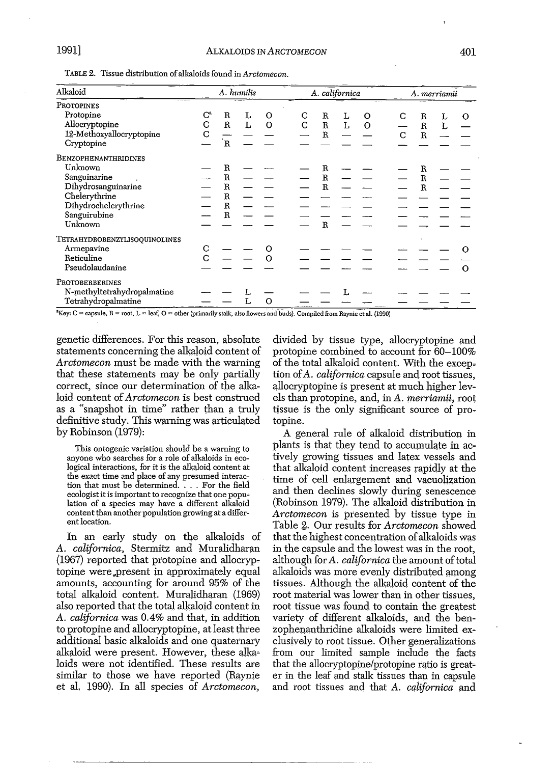TABLE 2. Tissue distribution ofalkaloids found in *Arctamecan.*

| Alkaloid                                                                                                                                                                                                                                                                                                                                                                                                    |                         |                | A. californica |   |  |   |                       |   | A. merriamii |   |  |                       |   |   |
|-------------------------------------------------------------------------------------------------------------------------------------------------------------------------------------------------------------------------------------------------------------------------------------------------------------------------------------------------------------------------------------------------------------|-------------------------|----------------|----------------|---|--|---|-----------------------|---|--------------|---|--|-----------------------|---|---|
| PROTOPINES                                                                                                                                                                                                                                                                                                                                                                                                  |                         |                |                |   |  |   |                       |   |              |   |  |                       |   |   |
| Protopine                                                                                                                                                                                                                                                                                                                                                                                                   | $\mathrm{C}^\mathrm{a}$ | R              | L              | O |  | С | R                     | L | о            | С |  | R                     |   | О |
| Allocryptopine                                                                                                                                                                                                                                                                                                                                                                                              | С                       | $\mathbf R$    | г              | O |  | C | $\mathbf R$           | L | O            |   |  | $\mathbf R$           | Ľ |   |
| 12-Methoxyallocryptopine                                                                                                                                                                                                                                                                                                                                                                                    | C                       |                |                |   |  |   | R                     |   |              | C |  | $\mathbb{R}$          |   |   |
| Cryptopine                                                                                                                                                                                                                                                                                                                                                                                                  |                         | $\mathbf{R}$   |                |   |  |   |                       |   |              |   |  |                       |   |   |
| BENZOPHENANTHRIDINES                                                                                                                                                                                                                                                                                                                                                                                        |                         |                |                |   |  |   |                       |   |              |   |  |                       |   |   |
| Unknown                                                                                                                                                                                                                                                                                                                                                                                                     |                         | $\, {\bf R}$   |                |   |  |   | $\mathbf R$           |   |              |   |  |                       |   |   |
| Sanguinarine                                                                                                                                                                                                                                                                                                                                                                                                |                         | $\mathbb{R}$   |                |   |  |   | R                     |   |              |   |  | $\mathbf R$           |   |   |
| Dihydrosanguinarine                                                                                                                                                                                                                                                                                                                                                                                         |                         | $\overline{R}$ |                |   |  |   | $\overline{\text{R}}$ |   |              |   |  | $\overline{\text{R}}$ |   |   |
| Chelerythrine                                                                                                                                                                                                                                                                                                                                                                                               |                         | R              |                |   |  |   |                       |   |              |   |  |                       |   |   |
| Dihydrochelerythrine                                                                                                                                                                                                                                                                                                                                                                                        |                         | $\mathbf R$    |                |   |  |   |                       |   |              |   |  |                       |   |   |
| Sanguirubine                                                                                                                                                                                                                                                                                                                                                                                                |                         | $\mathbf R$    |                |   |  |   |                       |   |              |   |  |                       |   |   |
| Unknown                                                                                                                                                                                                                                                                                                                                                                                                     |                         |                |                |   |  |   | Ŕ                     |   |              |   |  |                       |   |   |
| TETRAHYDROBENZYLISOQUINOLINES                                                                                                                                                                                                                                                                                                                                                                               |                         |                |                |   |  |   |                       |   |              |   |  |                       |   |   |
| Armepavine                                                                                                                                                                                                                                                                                                                                                                                                  | C                       |                |                |   |  |   |                       |   |              |   |  |                       |   |   |
| Reticuline                                                                                                                                                                                                                                                                                                                                                                                                  | C                       |                |                |   |  |   |                       |   |              |   |  |                       |   |   |
| Pseudolaudanine                                                                                                                                                                                                                                                                                                                                                                                             |                         |                |                |   |  |   |                       |   |              |   |  |                       |   | ∩ |
| PROTOBERBERINES                                                                                                                                                                                                                                                                                                                                                                                             |                         |                |                |   |  |   |                       |   |              |   |  |                       |   |   |
| N-methyltetrahydropalmatine                                                                                                                                                                                                                                                                                                                                                                                 |                         |                |                |   |  |   |                       |   |              |   |  |                       |   |   |
| Tetrahydropalmatine<br>$\overline{a}$ $\overline{a}$ $\overline{a}$ $\overline{a}$ $\overline{a}$ $\overline{a}$ $\overline{a}$ $\overline{a}$ $\overline{a}$ $\overline{a}$ $\overline{a}$ $\overline{a}$ $\overline{a}$ $\overline{a}$ $\overline{a}$ $\overline{a}$ $\overline{a}$ $\overline{a}$ $\overline{a}$ $\overline{a}$ $\overline{a}$ $\overline{a}$ $\overline{a}$ $\overline{a}$ $\overline{$ |                         |                | L              | O |  |   |                       |   |              |   |  |                       |   |   |

"Key: C = capsule, R = root, L = leaf, O = other (primarily stalk, also flowers and buds). Compiled from Raynie et al. (1990)

genetic differences. For this reason, absolute statements concerning the alkaloid content of *Arctomecon* must be made with the warning that these statements may be only partially correct, since our determination of the alkaloid content of*Arctomecon* is best construed as a "snapshot in time" rather than a truly definitive study. This warning was articulated by Robinson (1979):

This ontogenic variation should be a warning to anyone who searches for a role of alkaloids in ecological interactions, for it is the alkaloid content at the exact time and place of any presumed interaction that must be determined.... For the field ecologist it is important to recognize that one popu~ lation of a species may have a different alkaloid content than another population growing at a different location.

In an early study on the alkaloids of *A. californica,* Stermitz and Muralidharan  $(1967)$  reported that protopine and allocryptopine were present in approximately equal amounts, accounting for around 95% of the total alkaloid content. Muralidharan (1969) also reported that the total alkaloid content in *A. californica* was 0.4% and that, in addition to protopine and allocryptopine, at least three additional basic alkaloids and one quaternary alkaloid were present. However, these alkaloids were not identified. These results are similar to those we have reported (Raynie et al. 1990). In all species of *Arctomecon,*

divided by tissue type, allocryptopine and protopine combined to account for 60-100% of the total alkaloid content. With the excep: tion of*A. californica* capsule and root tissues, allocryptopine is present at much higher levels than protopine, and, in *A. merriamii*, root tissue is the only significant source of protopine.

A general rule of alkaloid distribution in plants is that they tend to accumulate in actively growing tissues and latex vessels and that alkaloid content increases rapidly at the time of cell enlargement and vacuolization and then declines slowly during senescence (Robinson 1979). The alkaloid distribution m *Arctomecon* is presented by tissue type in Table 2. Our results for *Arctomecon* showed that the highest concentration of alkaloids was in the capsule and the lowest was in the root, although for *A. californica* the amount of total alkaloids was more evenly distributed among tissues. Although the alkaloid content of the root material Was lower than in other tissues, root tissue was found to contain the greatest variety of different alkaloids, and the benzophenanthridine alkaloids were limited ex~ elusively to root tissue. Other generalizations from our limited sample include the facts that the allocryptopine/protopine ratio is greater in the leaf and stalk tissues than in capsule and root tissues and that *A. californica* and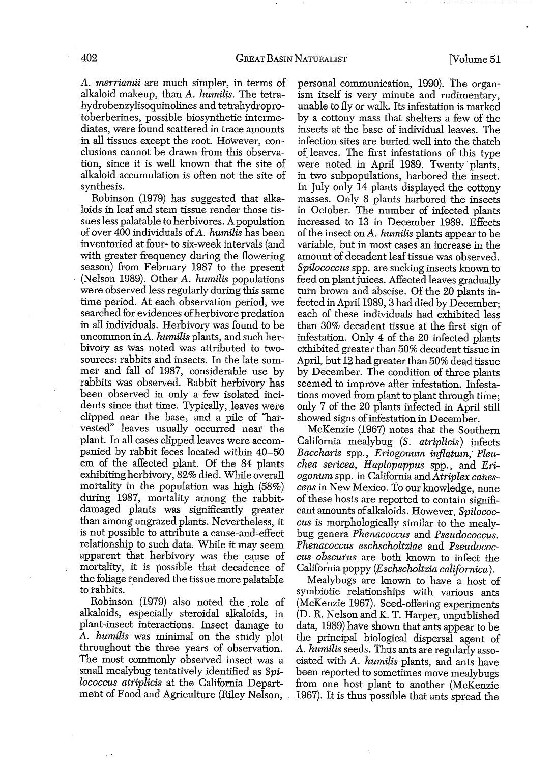A. *merriamii* are much simpler, in terms of alkaloid makeup, than A. *humilis.* The tetrahydrobenzylisoquinolines and tetrahydroprotoberberines, possible biosynthetic intermediates, were found scattered in trace amounts in all tissues except the root. However, conclusions cannot be drawn from this observation, since it is well known that the site of alkaloid accumulation is often not the site of synthesis.

Robinson (1979) has suggested that alkaloids in leaf and stem tissue render those tissues less palatable to herbivores. A population of over 400 individuals ofA. *humilis* has been inventoried at four~ to six-week intervals (and with greater frequency during the flowering season) from February 1987 to the present (Nelson 1989). Other A. *humilis* populations were observed less regularly during this same time period. At each observation period, we searched for evidences of herbivore predation in all individuals. Herbivory was found to be uncommon inA. *humilis* plants, and such herbivory as Was noted Was attributed to twosources: rabbits and insects. In the late summer and fall of 1987, considerable use by rabbits Was observed. Rabbit herbivory has been observed in only a few isolated incidents since that time. Typically, leaves were clipped near the base, and a pile of "harvested" leaves usually occurred near the plant. In all cases clipped leaves Were accompanied by rabbit feces located within 40-50 cm of the affected plant. Of the 84 plants exhibiting herbivory, 82% died. While overall mortality in the population was high (58%) during 1987, mortality among the rabbitdamaged plants was significantly greater than among ungrazed plants. Nevertheless, it is not possible to attribute a cause-and~effect relationship to such data. While it may seem apparent that herbivory was the cause of mortality, it is possible that decadence of the foliage rendered the tissue more palatable to rabbits..

Robinson (1979) also noted the. role of alkaloids, especially steroidal alkaloids, in plant-insect interactions. Insect damage to A. *humilis* Was minimal on the study plot throughout the three years of observation. The most commonly observed insect was a small mealybug tentatively identified as *Spilococcus atriplicis* at the California Department of Food and Agriculture (Riley Nelson, . personal communication, 1990). The organism itself is very minute and rudimentary, unable to fly or walk. Its infestation is marked by a cottony mass that shelters a few of the insects at the base of individual leaves. The infection sites are buried well into the thatch of. leaves. The first infestations of this type were noted in April 1989. Twenty' plants, in two subpopulations, harbored the insect. In July only 14 plants displayed the cottony masses. Only 8 plants harbored the insects in October. The number of infected plants increased to 13 in December 1989. Effects ofthe insect on A. *humilis* plants appear to be variable, but in most cases an increase in the amount of decadent leaf tissue was observed. *Spilococcus* spp. are sucking insects known to feed on plant juices. Affected leaves gradually turn brown and abscise. Of the 20 plants infected in April 1989, 3 had died by December; each of these individuals had exhibited less than 30% decadent tissue at the first sign of infestation. Only 4 of the 20 infected plants exhibited greater than 50% decadent tissue in April, but 12 had greater than 50% dead tissue by December. The condition of three plants seemed to improve after infestation. Infestations moved from plant to plant through time; only 7 of the 20 plants infected in April still showed signs of infestation in December.

McKenzie (1967) notes that the Southern California mealybug *(S. atriplicis)* infects *Baccharis* spp., *Eriogonum injlatum; Pleuchea sericea, Haplopappus* spp., and *Eriogonum* spp. in California and *Atriplex canescens* in New Mexico. To our knowledge, none of these hosts are reported to contain significant amounts of alkaloids. However, *Spilococcus* is morphologically similar to the mealybug genera *Phenacoccus* and *Pseudococcus. Phenacoccus eschscholtziae* and Pseudococ~ cus obscurus are both known to infect the California poppy *(Eschscholtzia californica).*

Mealybugs are known to have a host of symbiotic relationships with various ants (McKenzie 1967). Seed-offering experiments (D. R. Nelson and K. T. Harper, unpublished data, 1989) have shown that ants appear to be the principal biological dispersal agent of A. *humilis* seeds. Thus ants are regularly associated with A. *humilis* plants, and ants have been reported to sometimes move mealybugs from one host plant to another (McKenzie 1967). It is thus possible that ants spread the